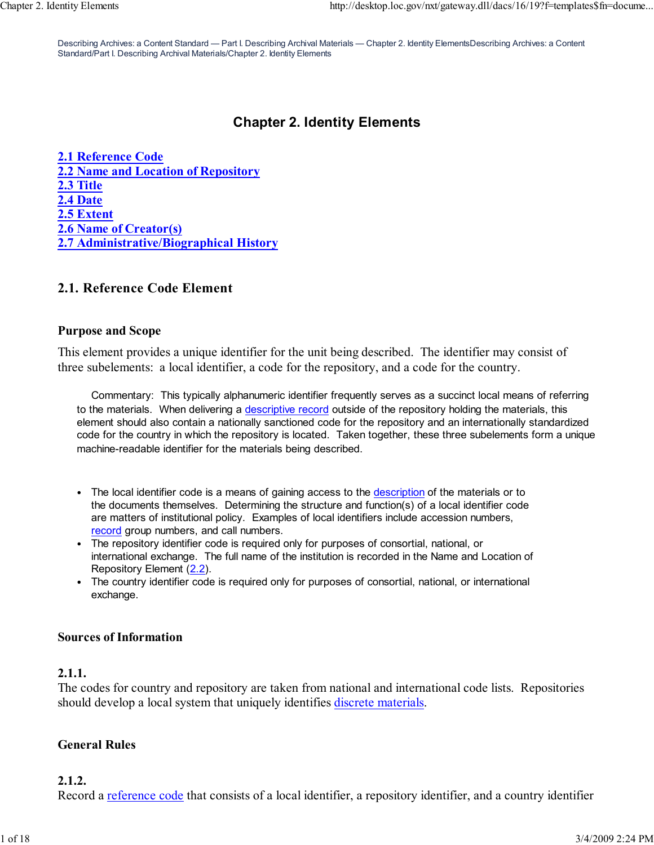Describing Archives: a Content Standard — Part I. Describing Archival Materials — Chapter 2. Identity ElementsDescribing Archives: a Content Standard/Part I. Describing Archival Materials/Chapter 2. Identity Elements

# **Chapter 2. Identity Elements**

**2.1 Reference Code 2.2 Name and Location of Repository 2.3 Title 2.4 Date 2.5 Extent 2.6 Name of Creator(s) 2.7 Administrative/Biographical History**

# **2.1. Reference Code Element**

# **Purpose and Scope**

This element provides a unique identifier for the unit being described. The identifier may consist of three subelements: a local identifier, a code for the repository, and a code for the country.

Commentary: This typically alphanumeric identifier frequently serves as a succinct local means of referring to the materials. When delivering a descriptive record outside of the repository holding the materials, this element should also contain a nationally sanctioned code for the repository and an internationally standardized code for the country in which the repository is located. Taken together, these three subelements form a unique machine-readable identifier for the materials being described.

- The local identifier code is a means of gaining access to the description of the materials or to the documents themselves. Determining the structure and function(s) of a local identifier code are matters of institutional policy. Examples of local identifiers include accession numbers, record group numbers, and call numbers.
- The repository identifier code is required only for purposes of consortial, national, or international exchange. The full name of the institution is recorded in the Name and Location of Repository Element (2.2).
- The country identifier code is required only for purposes of consortial, national, or international exchange.

# **Sources of Information**

# **2.1.1.**

The codes for country and repository are taken from national and international code lists. Repositories should develop a local system that uniquely identifies discrete materials.

# **General Rules**

#### **2.1.2.**

Record a reference code that consists of a local identifier, a repository identifier, and a country identifier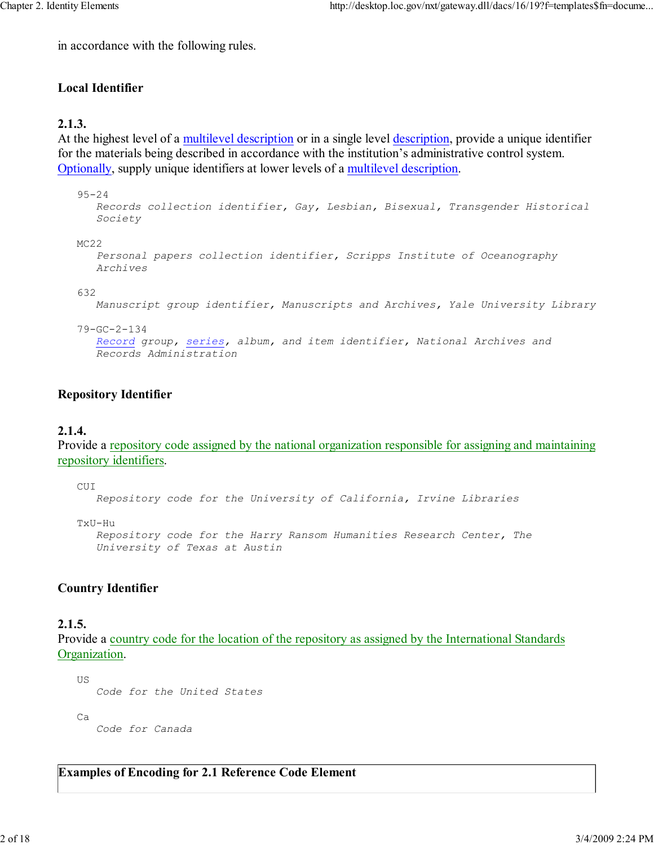in accordance with the following rules.

# **Local Identifier**

# **2.1.3.**

At the highest level of a multilevel description or in a single level description, provide a unique identifier for the materials being described in accordance with the institution's administrative control system. Optionally, supply unique identifiers at lower levels of a multilevel description.

```
95-24
  Records collection identifier, Gay, Lesbian, Bisexual, Transgender Historical
  Society
```
MC22

```
Personal papers collection identifier, Scripps Institute of Oceanography
Archives
```
632

*Manuscript group identifier, Manuscripts and Archives, Yale University Library*

```
79-GC-2-134
```

```
Record group, series, album, and item identifier, National Archives and
Records Administration
```
# **Repository Identifier**

#### **2.1.4.**

Provide a repository code assigned by the national organization responsible for assigning and maintaining repository identifiers.

CUI

*Repository code for the University of California, Irvine Libraries*

TxU-Hu

*Repository code for the Harry Ransom Humanities Research Center, The University of Texas at Austin*

# **Country Identifier**

#### **2.1.5.**

Provide a country code for the location of the repository as assigned by the International Standards Organization.

```
US
   Code for the United States
Ca
   Code for Canada
```
**Examples of Encoding for 2.1 Reference Code Element**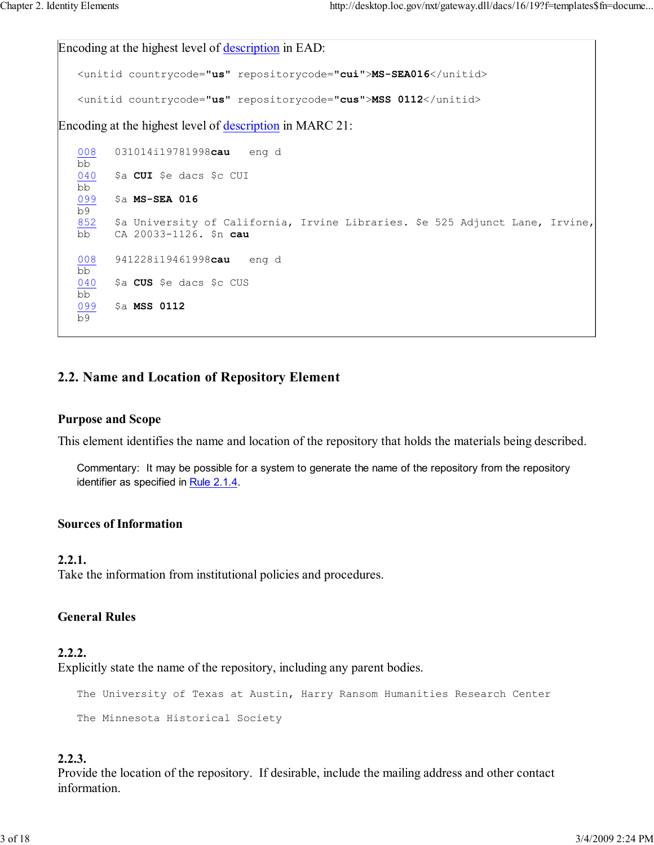Encoding at the highest level of description in EAD: <unitid countrycode=**"us"** repositorycode=**"cui"**>**MS-SEA016**</unitid> <unitid countrycode=**"us"** repositorycode=**"cus"**>**MSS 0112**</unitid> Encoding at the highest level of description in MARC 21: 008 bb 031014i19781998**cau** eng d 040 bb \$a **CUI** \$e dacs \$c CUI 099 b9 \$a **MS-SEA 016** 852 \$a University of California, Irvine Libraries. \$e 525 Adjunct Lane, Irvine, bb CA 20033-1126. \$n **cau** 008 941228i19461998**cau** eng d bb 040 bb \$a **CUS** \$e dacs \$c CUS 099 b9 \$a **MSS 0112**

# **2.2. Name and Location of Repository Element**

### **Purpose and Scope**

This element identifies the name and location of the repository that holds the materials being described.

Commentary: It may be possible for a system to generate the name of the repository from the repository identifier as specified in Rule 2.1.4.

# **Sources of Information**

#### **2.2.1.**

Take the information from institutional policies and procedures.

# **General Rules**

# **2.2.2.**

Explicitly state the name of the repository, including any parent bodies.

The University of Texas at Austin, Harry Ransom Humanities Research Center

The Minnesota Historical Society

# **2.2.3.**

Provide the location of the repository. If desirable, include the mailing address and other contact information.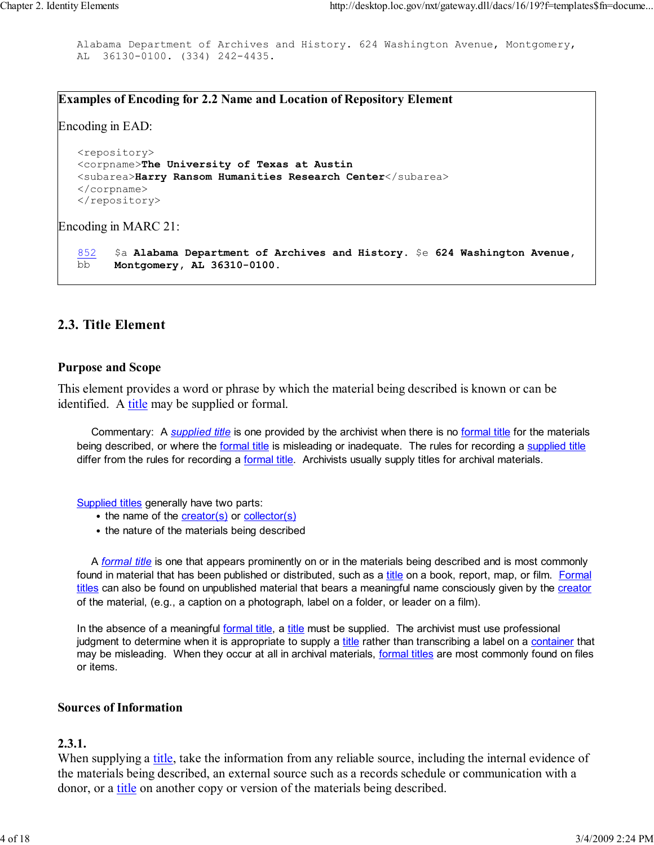Alabama Department of Archives and History. 624 Washington Avenue, Montgomery, AL 36130-0100. (334) 242-4435.

#### **Examples of Encoding for 2.2 Name and Location of Repository Element**

```
Encoding in EAD:
```

```
<repository>
<corpname>The University of Texas at Austin
<subarea>Harry Ransom Humanities Research Center</subarea>
</corpname>
</repository>
```
Encoding in MARC 21:

852 bb \$a **Alabama Department of Archives and History**. \$e **624 Washington Avenue, Montgomery, AL 36310-0100**.

# **2.3. Title Element**

#### **Purpose and Scope**

This element provides a word or phrase by which the material being described is known or can be identified. A title may be supplied or formal.

Commentary: A *supplied title* is one provided by the archivist when there is no formal title for the materials being described, or where the formal title is misleading or inadequate. The rules for recording a supplied title differ from the rules for recording a formal title. Archivists usually supply titles for archival materials.

Supplied titles generally have two parts:

- the name of the **creator(s)** or **collector(s)**
- the nature of the materials being described

A *formal title* is one that appears prominently on or in the materials being described and is most commonly found in material that has been published or distributed, such as a title on a book, report, map, or film. Formal titles can also be found on unpublished material that bears a meaningful name consciously given by the creator of the material, (e.g., a caption on a photograph, label on a folder, or leader on a film).

In the absence of a meaningful formal title, a title must be supplied. The archivist must use professional judgment to determine when it is appropriate to supply a title rather than transcribing a label on a container that may be misleading. When they occur at all in archival materials, formal titles are most commonly found on files or items.

### **Sources of Information**

#### **2.3.1.**

When supplying a <u>title</u>, take the information from any reliable source, including the internal evidence of the materials being described, an external source such as a records schedule or communication with a donor, or a title on another copy or version of the materials being described.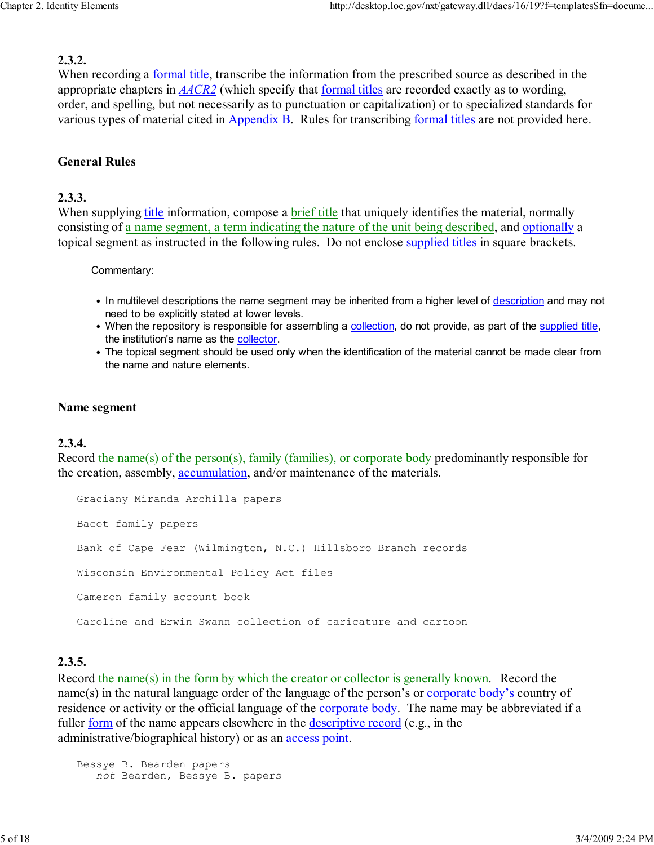### **2.3.2.**

When recording a formal title, transcribe the information from the prescribed source as described in the appropriate chapters in *AACR2* (which specify that formal titles are recorded exactly as to wording, order, and spelling, but not necessarily as to punctuation or capitalization) or to specialized standards for various types of material cited in Appendix B. Rules for transcribing formal titles are not provided here.

# **General Rules**

### **2.3.3.**

When supplying title information, compose a brief title that uniquely identifies the material, normally consisting of a name segment, a term indicating the nature of the unit being described, and optionally a topical segment as instructed in the following rules. Do not enclose supplied titles in square brackets.

Commentary:

- In multilevel descriptions the name segment may be inherited from a higher level of description and may not need to be explicitly stated at lower levels.
- When the repository is responsible for assembling a collection, do not provide, as part of the supplied title, the institution's name as the collector.
- The topical segment should be used only when the identification of the material cannot be made clear from the name and nature elements.

#### **Name segment**

#### **2.3.4.**

Record the name(s) of the person(s), family (families), or corporate body predominantly responsible for the creation, assembly, accumulation, and/or maintenance of the materials.

```
Graciany Miranda Archilla papers
Bacot family papers
Bank of Cape Fear (Wilmington, N.C.) Hillsboro Branch records
Wisconsin Environmental Policy Act files
Cameron family account book
Caroline and Erwin Swann collection of caricature and cartoon
```
# **2.3.5.**

Record the name(s) in the form by which the creator or collector is generally known. Record the name(s) in the natural language order of the language of the person's or corporate body's country of residence or activity or the official language of the corporate body. The name may be abbreviated if a fuller form of the name appears elsewhere in the descriptive record (e.g., in the administrative/biographical history) or as an access point.

Bessye B. Bearden papers *not* Bearden, Bessye B. papers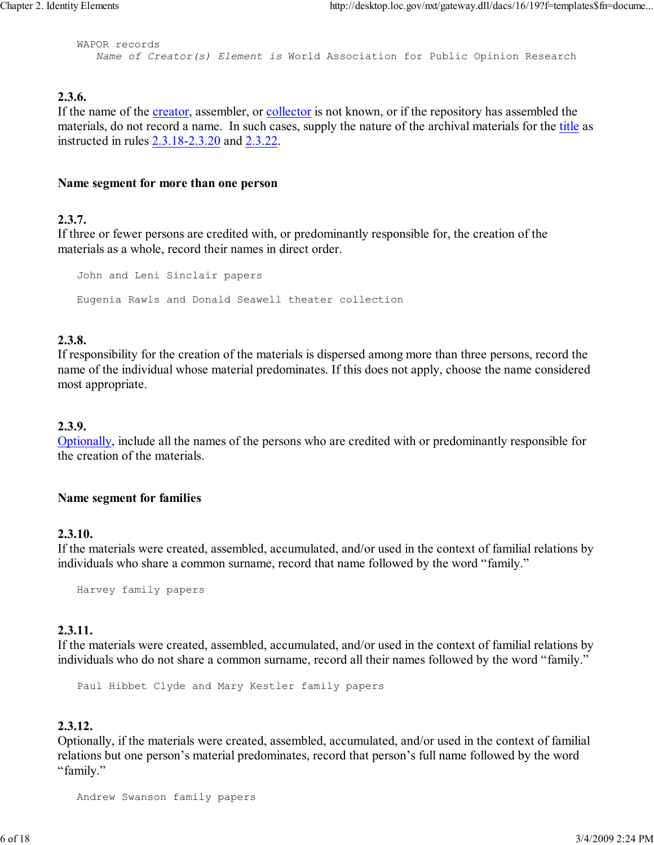```
WAPOR records
  Name of Creator(s) Element is World Association for Public Opinion Research
```
# **2.3.6.**

If the name of the creator, assembler, or collector is not known, or if the repository has assembled the materials, do not record a name. In such cases, supply the nature of the archival materials for the title as instructed in rules 2.3.18-2.3.20 and 2.3.22.

#### **Name segment for more than one person**

# **2.3.7.**

If three or fewer persons are credited with, or predominantly responsible for, the creation of the materials as a whole, record their names in direct order.

```
John and Leni Sinclair papers
Eugenia Rawls and Donald Seawell theater collection
```
# **2.3.8.**

If responsibility for the creation of the materials is dispersed among more than three persons, record the name of the individual whose material predominates. If this does not apply, choose the name considered most appropriate.

# **2.3.9.**

Optionally, include all the names of the persons who are credited with or predominantly responsible for the creation of the materials.

# **Name segment for families**

# **2.3.10.**

If the materials were created, assembled, accumulated, and/or used in the context of familial relations by individuals who share a common surname, record that name followed by the word "family."

```
Harvey family papers
```
# **2.3.11.**

If the materials were created, assembled, accumulated, and/or used in the context of familial relations by individuals who do not share a common surname, record all their names followed by the word "family."

Paul Hibbet Clyde and Mary Kestler family papers

# **2.3.12.**

Optionally, if the materials were created, assembled, accumulated, and/or used in the context of familial relations but one person's material predominates, record that person's full name followed by the word "family."

Andrew Swanson family papers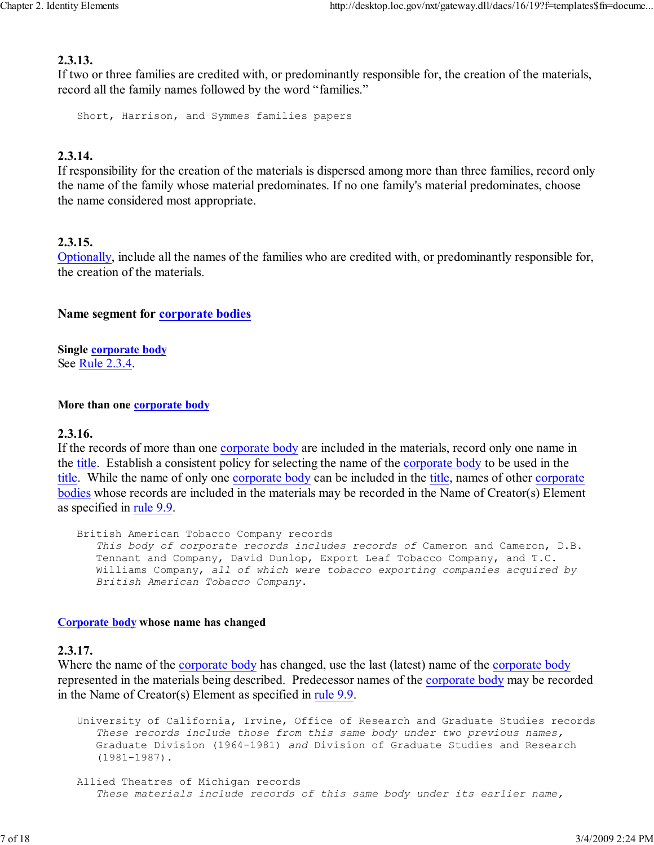# **2.3.13.**

If two or three families are credited with, or predominantly responsible for, the creation of the materials, record all the family names followed by the word "families."

Short, Harrison, and Symmes families papers

# **2.3.14.**

If responsibility for the creation of the materials is dispersed among more than three families, record only the name of the family whose material predominates. If no one family's material predominates, choose the name considered most appropriate.

# **2.3.15.**

Optionally, include all the names of the families who are credited with, or predominantly responsible for, the creation of the materials.

# **Name segment for corporate bodies**

**Single corporate body** See Rule 2.3.4.

#### **More than one corporate body**

#### **2.3.16.**

If the records of more than one corporate body are included in the materials, record only one name in the title. Establish a consistent policy for selecting the name of the corporate body to be used in the title. While the name of only one corporate body can be included in the title, names of other corporate bodies whose records are included in the materials may be recorded in the Name of Creator(s) Element as specified in rule 9.9.

British American Tobacco Company records *This body of corporate records includes records of* Cameron and Cameron, D.B. Tennant and Company, David Dunlop, Export Leaf Tobacco Company, and T.C. Williams Company, *all of which were tobacco exporting companies acquired by British American Tobacco Company*.

#### **Corporate body whose name has changed**

# **2.3.17.**

Where the name of the corporate body has changed, use the last (latest) name of the corporate body represented in the materials being described. Predecessor names of the corporate body may be recorded in the Name of Creator(s) Element as specified in rule 9.9.

University of California, Irvine, Office of Research and Graduate Studies records *These records include those from this same body under two previous names,* Graduate Division (1964-1981) *and* Division of Graduate Studies and Research (1981-1987).

Allied Theatres of Michigan records *These materials include records of this same body under its earlier name,*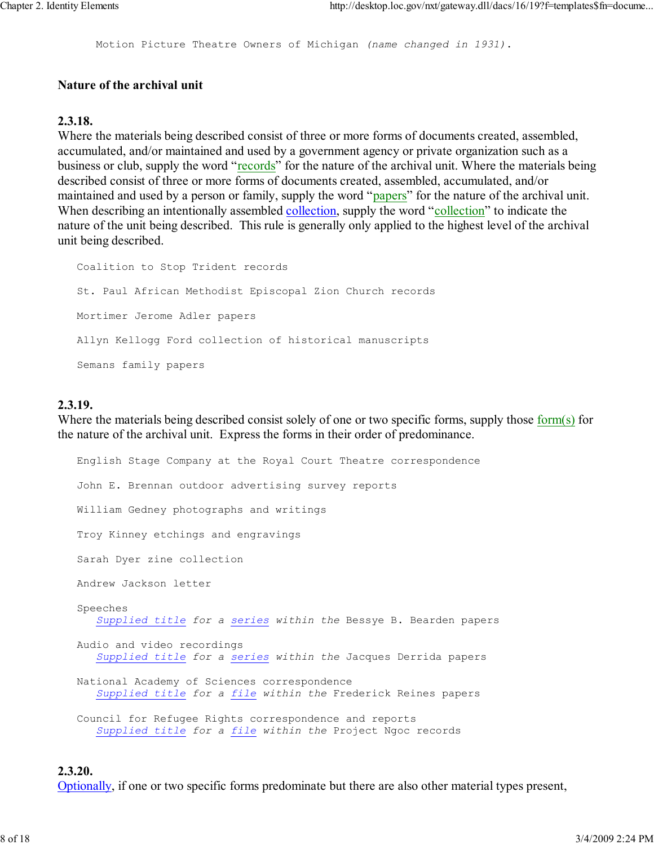Motion Picture Theatre Owners of Michigan *(name changed in 1931)*.

#### **Nature of the archival unit**

#### **2.3.18.**

Where the materials being described consist of three or more forms of documents created, assembled, accumulated, and/or maintained and used by a government agency or private organization such as a business or club, supply the word "records" for the nature of the archival unit. Where the materials being described consist of three or more forms of documents created, assembled, accumulated, and/or maintained and used by a person or family, supply the word "papers" for the nature of the archival unit. When describing an intentionally assembled collection, supply the word "collection" to indicate the nature of the unit being described. This rule is generally only applied to the highest level of the archival unit being described.

Coalition to Stop Trident records St. Paul African Methodist Episcopal Zion Church records Mortimer Jerome Adler papers Allyn Kellogg Ford collection of historical manuscripts Semans family papers

#### **2.3.19.**

Where the materials being described consist solely of one or two specific forms, supply those form(s) for the nature of the archival unit. Express the forms in their order of predominance.

English Stage Company at the Royal Court Theatre correspondence John E. Brennan outdoor advertising survey reports William Gedney photographs and writings Troy Kinney etchings and engravings Sarah Dyer zine collection Andrew Jackson letter Speeches *Supplied title for a series within the* Bessye B. Bearden papers Audio and video recordings *Supplied title for a series within the* Jacques Derrida papers National Academy of Sciences correspondence *Supplied title for a file within the* Frederick Reines papers Council for Refugee Rights correspondence and reports *Supplied title for a file within the* Project Ngoc records

#### **2.3.20.**

Optionally, if one or two specific forms predominate but there are also other material types present,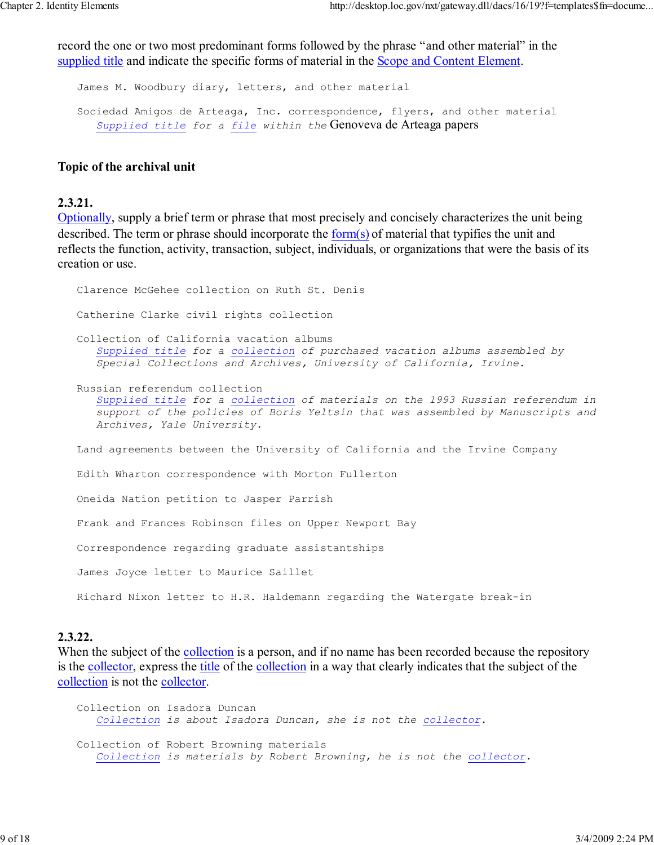record the one or two most predominant forms followed by the phrase "and other material" in the supplied title and indicate the specific forms of material in the Scope and Content Element.

```
James M. Woodbury diary, letters, and other material
Sociedad Amigos de Arteaga, Inc. correspondence, flyers, and other material
   Supplied title for a file within the Genoveva de Arteaga papers
```
# **Topic of the archival unit**

### **2.3.21.**

Optionally, supply a brief term or phrase that most precisely and concisely characterizes the unit being described. The term or phrase should incorporate the form(s) of material that typifies the unit and reflects the function, activity, transaction, subject, individuals, or organizations that were the basis of its creation or use.

Clarence McGehee collection on Ruth St. Denis Catherine Clarke civil rights collection Collection of California vacation albums *Supplied title for a collection of purchased vacation albums assembled by Special Collections and Archives, University of California, Irvine.* Russian referendum collection *Supplied title for a collection of materials on the 1993 Russian referendum in support of the policies of Boris Yeltsin that was assembled by Manuscripts and Archives, Yale University.* Land agreements between the University of California and the Irvine Company Edith Wharton correspondence with Morton Fullerton Oneida Nation petition to Jasper Parrish Frank and Frances Robinson files on Upper Newport Bay Correspondence regarding graduate assistantships James Joyce letter to Maurice Saillet Richard Nixon letter to H.R. Haldemann regarding the Watergate break-in

# **2.3.22.**

When the subject of the collection is a person, and if no name has been recorded because the repository is the collector, express the title of the collection in a way that clearly indicates that the subject of the collection is not the collector.

Collection on Isadora Duncan *Collection is about Isadora Duncan, she is not the collector.* Collection of Robert Browning materials *Collection is materials by Robert Browning, he is not the collector.*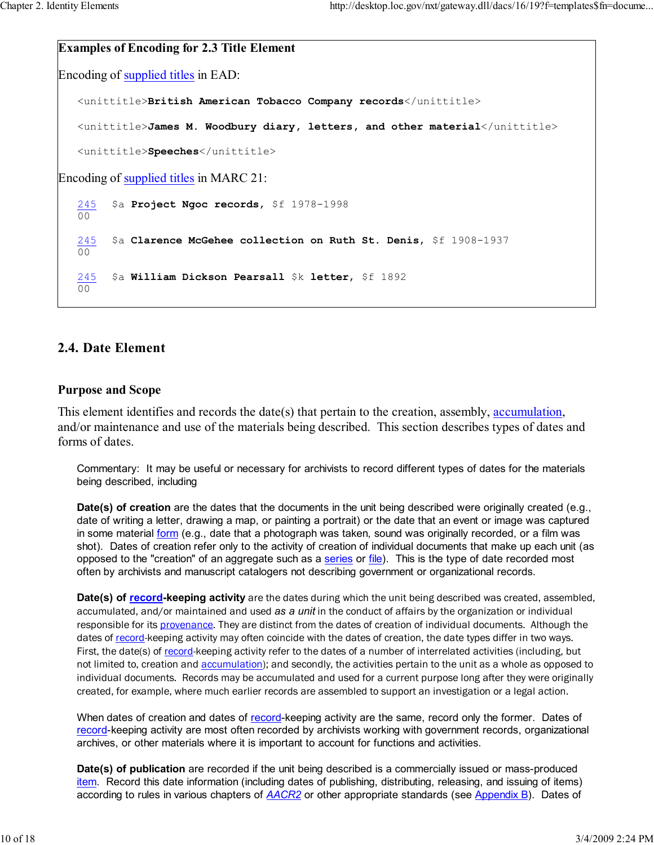**Examples of Encoding for 2.3 Title Element** Encoding of supplied titles in EAD: <unittitle>**British American Tobacco Company records**</unittitle> <unittitle>**James M. Woodbury diary, letters, and other material**</unittitle> <unittitle>**Speeches**</unittitle> Encoding of supplied titles in MARC 21: 245  $0<sub>0</sub>$ \$a **Project Ngoc records**, \$f 1978-1998 245 00 \$a **Clarence McGehee collection on Ruth St. Denis**, \$f 1908-1937 245 00 \$a **William Dickson Pearsall** \$k **letter**, \$f 1892

# **2.4. Date Element**

# **Purpose and Scope**

This element identifies and records the date(s) that pertain to the creation, assembly, accumulation, and/or maintenance and use of the materials being described. This section describes types of dates and forms of dates.

Commentary: It may be useful or necessary for archivists to record different types of dates for the materials being described, including

**Date(s) of creation** are the dates that the documents in the unit being described were originally created (e.g., date of writing a letter, drawing a map, or painting a portrait) or the date that an event or image was captured in some material form (e.g., date that a photograph was taken, sound was originally recorded, or a film was shot). Dates of creation refer only to the activity of creation of individual documents that make up each unit (as opposed to the "creation" of an aggregate such as a series or file). This is the type of date recorded most often by archivists and manuscript catalogers not describing government or organizational records.

**Date(s) of record-keeping activity** are the dates during which the unit being described was created, assembled, accumulated, and/or maintained and used *as a unit* in the conduct of affairs by the organization or individual responsible for its provenance. They are distinct from the dates of creation of individual documents. Although the dates of record-keeping activity may often coincide with the dates of creation, the date types differ in two ways. First, the date(s) of record-keeping activity refer to the dates of a number of interrelated activities (including, but not limited to, creation and accumulation); and secondly, the activities pertain to the unit as a whole as opposed to individual documents. Records may be accumulated and used for a current purpose long after they were originally created, for example, where much earlier records are assembled to support an investigation or a legal action.

When dates of creation and dates of record-keeping activity are the same, record only the former. Dates of record-keeping activity are most often recorded by archivists working with government records, organizational archives, or other materials where it is important to account for functions and activities.

**Date(s) of publication** are recorded if the unit being described is a commercially issued or mass-produced item. Record this date information (including dates of publishing, distributing, releasing, and issuing of items) according to rules in various chapters of *AACR2* or other appropriate standards (see Appendix B). Dates of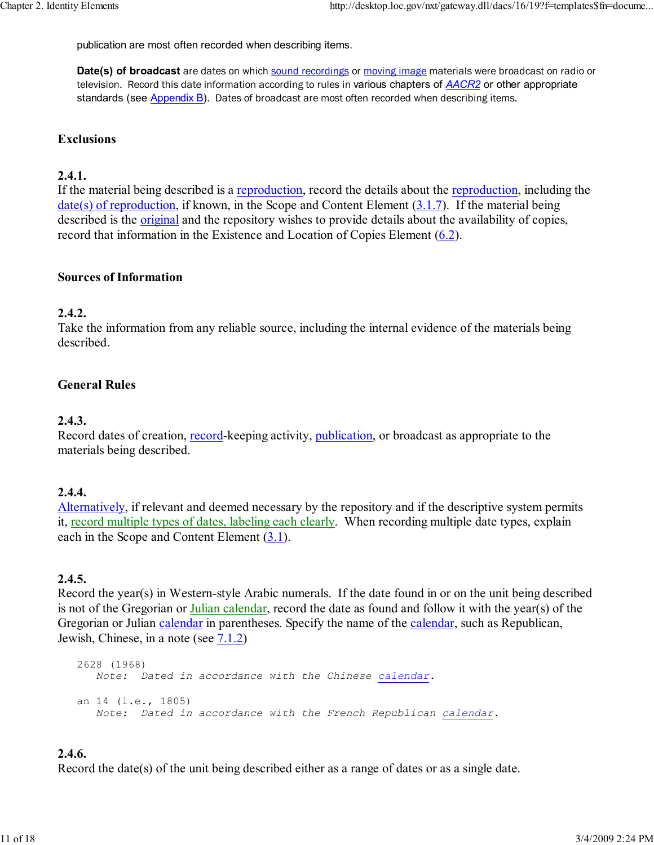publication are most often recorded when describing items.

**Date(s) of broadcast** are dates on which sound recordings or moving image materials were broadcast on radio or television. Record this date information according to rules in various chapters of *AACR2* or other appropriate standards (see Appendix B). Dates of broadcast are most often recorded when describing items.

#### **Exclusions**

### **2.4.1.**

If the material being described is a reproduction, record the details about the reproduction, including the date(s) of reproduction, if known, in the Scope and Content Element (3.1.7). If the material being described is the original and the repository wishes to provide details about the availability of copies, record that information in the Existence and Location of Copies Element (6.2).

#### **Sources of Information**

### **2.4.2.**

Take the information from any reliable source, including the internal evidence of the materials being described.

# **General Rules**

### **2.4.3.**

Record dates of creation, record-keeping activity, publication, or broadcast as appropriate to the materials being described.

# **2.4.4.**

Alternatively, if relevant and deemed necessary by the repository and if the descriptive system permits it, record multiple types of dates, labeling each clearly. When recording multiple date types, explain each in the Scope and Content Element  $(3.1)$ .

# **2.4.5.**

Record the year(s) in Western-style Arabic numerals. If the date found in or on the unit being described is not of the Gregorian or Julian calendar, record the date as found and follow it with the year(s) of the Gregorian or Julian calendar in parentheses. Specify the name of the calendar, such as Republican, Jewish, Chinese, in a note (see  $7.1.2$ )

```
2628 (1968)
  Note: Dated in accordance with the Chinese calendar.
an 14 (i.e., 1805)
  Note: Dated in accordance with the French Republican calendar.
```
# **2.4.6.**

Record the date(s) of the unit being described either as a range of dates or as a single date.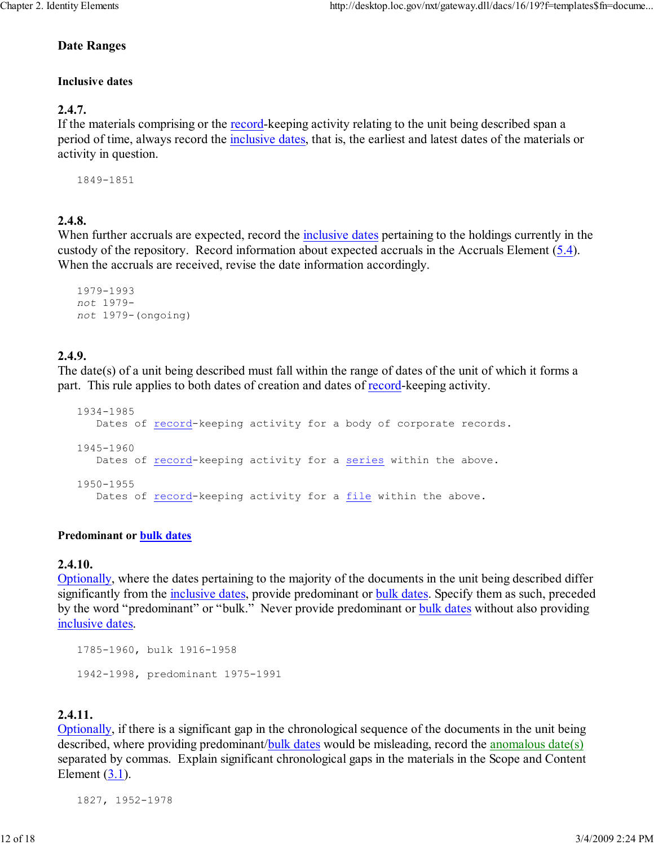# **Date Ranges**

# **Inclusive dates**

# **2.4.7.**

If the materials comprising or the record-keeping activity relating to the unit being described span a period of time, always record the inclusive dates, that is, the earliest and latest dates of the materials or activity in question.

1849-1851

# **2.4.8.**

When further accruals are expected, record the inclusive dates pertaining to the holdings currently in the custody of the repository. Record information about expected accruals in the Accruals Element (5.4). When the accruals are received, revise the date information accordingly.

```
1979-1993
not 1979-
not 1979-(ongoing)
```
# **2.4.9.**

The date(s) of a unit being described must fall within the range of dates of the unit of which it forms a part. This rule applies to both dates of creation and dates of record-keeping activity.

```
1934-1985
  Dates of record-keeping activity for a body of corporate records.
1945-1960
  Dates of record-keeping activity for a series within the above.
1950-1955
   Dates of record-keeping activity for a file within the above.
```
# **Predominant or bulk dates**

# **2.4.10.**

Optionally, where the dates pertaining to the majority of the documents in the unit being described differ significantly from the inclusive dates, provide predominant or bulk dates. Specify them as such, preceded by the word "predominant" or "bulk." Never provide predominant or bulk dates without also providing inclusive dates.

```
1785-1960, bulk 1916-1958
1942-1998, predominant 1975-1991
```
# **2.4.11.**

Optionally, if there is a significant gap in the chronological sequence of the documents in the unit being described, where providing predominant/bulk dates would be misleading, record the anomalous date(s) separated by commas. Explain significant chronological gaps in the materials in the Scope and Content Element  $(3.1)$ .

1827, 1952-1978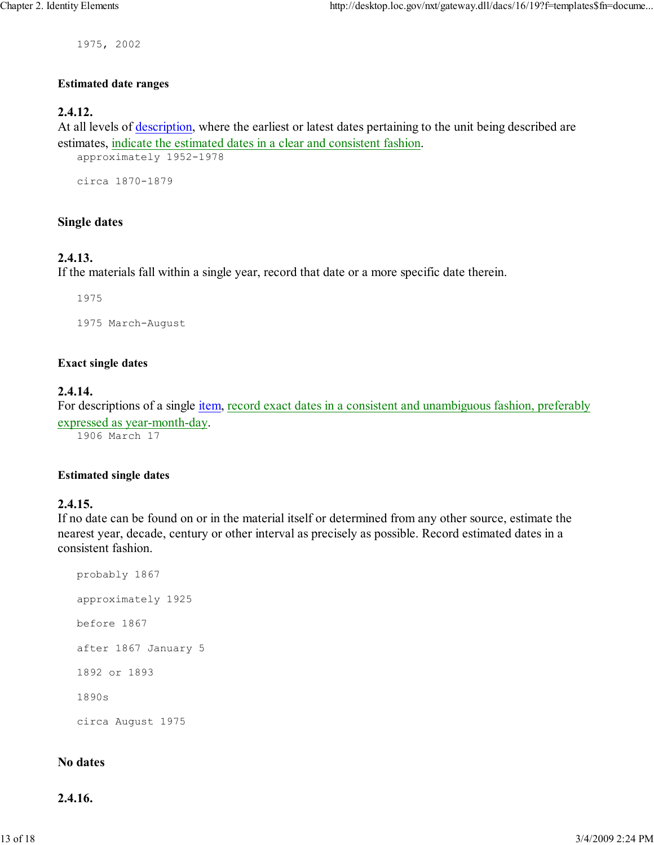1975, 2002

### **Estimated date ranges**

# **2.4.12.**

At all levels of description, where the earliest or latest dates pertaining to the unit being described are estimates, indicate the estimated dates in a clear and consistent fashion.

```
approximately 1952-1978
```

```
circa 1870-1879
```
# **Single dates**

# **2.4.13.**

If the materials fall within a single year, record that date or a more specific date therein.

1975

1975 March-August

# **Exact single dates**

# **2.4.14.**

For descriptions of a single item, record exact dates in a consistent and unambiguous fashion, preferably expressed as year-month-day.

1906 March 17

# **Estimated single dates**

# **2.4.15.**

If no date can be found on or in the material itself or determined from any other source, estimate the nearest year, decade, century or other interval as precisely as possible. Record estimated dates in a consistent fashion.

```
probably 1867
approximately 1925
before 1867
after 1867 January 5
1892 or 1893
1890s
circa August 1975
```
# **No dates**

# **2.4.16.**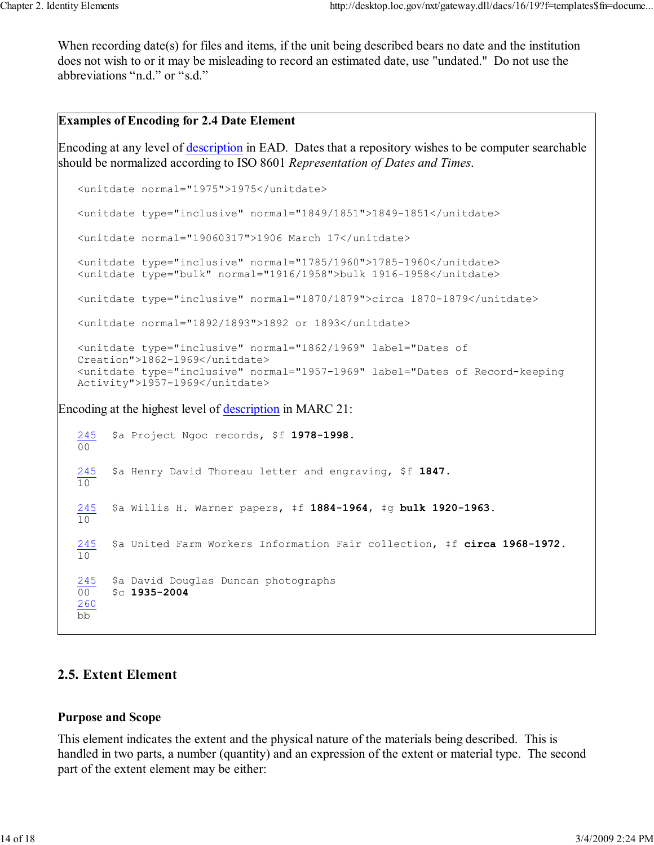When recording date(s) for files and items, if the unit being described bears no date and the institution does not wish to or it may be misleading to record an estimated date, use "undated." Do not use the abbreviations "n.d." or "s.d."

# **Examples of Encoding for 2.4 Date Element**

Encoding at any level of description in EAD. Dates that a repository wishes to be computer searchable should be normalized according to ISO 8601 *Representation of Dates and Times*.

```
<unitdate normal="1975">1975</unitdate>
<unitdate type="inclusive" normal="1849/1851">1849-1851</unitdate>
<unitdate normal="19060317">1906 March 17</unitdate>
<unitdate type="inclusive" normal="1785/1960">1785-1960</unitdate>
<unitdate type="bulk" normal="1916/1958">bulk 1916-1958</unitdate>
<unitdate type="inclusive" normal="1870/1879">circa 1870-1879</unitdate>
<unitdate normal="1892/1893">1892 or 1893</unitdate>
<unitdate type="inclusive" normal="1862/1969" label="Dates of
Creation">1862-1969</unitdate>
<unitdate type="inclusive" normal="1957-1969" label="Dates of Record-keeping
```
Encoding at the highest level of description in MARC 21:

Activity">1957-1969</unitdate>

```
245
0<sub>0</sub>$a Project Ngoc records, $f 1978-1998.
245
10$a Henry David Thoreau letter and engraving, $f 1847.
245
\overline{10}$a Willis H. Warner papers, ‡f 1884-1964, ‡g bulk 1920-1963.
245
10
     $a United Farm Workers Information Fair collection, ‡f circa 1968-1972.
245
00
260
bb
     $a David Douglas Duncan photographs
     $c 1935-2004
```
# **2.5. Extent Element**

# **Purpose and Scope**

This element indicates the extent and the physical nature of the materials being described. This is handled in two parts, a number (quantity) and an expression of the extent or material type. The second part of the extent element may be either: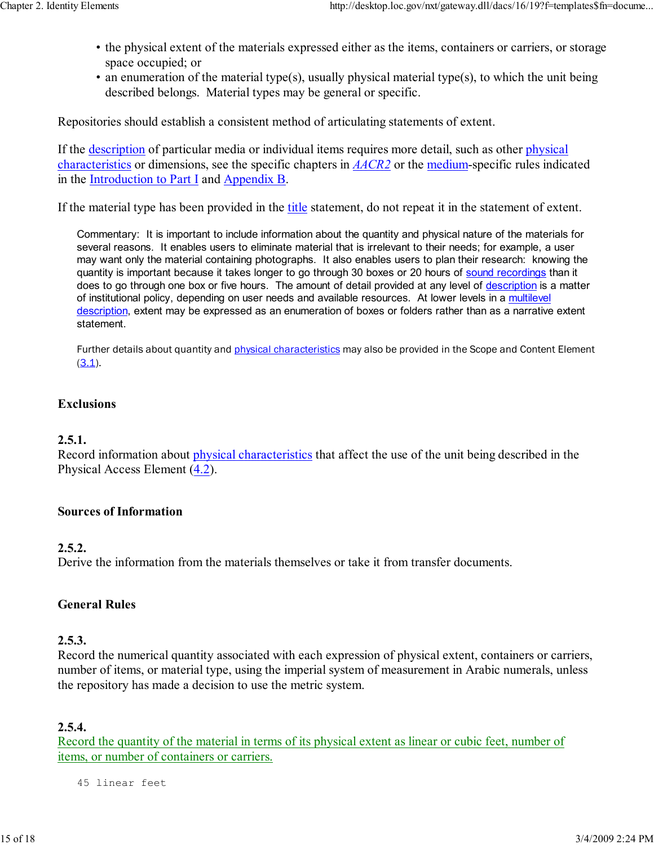- the physical extent of the materials expressed either as the items, containers or carriers, or storage space occupied; or
- an enumeration of the material type(s), usually physical material type(s), to which the unit being described belongs. Material types may be general or specific.

Repositories should establish a consistent method of articulating statements of extent.

If the description of particular media or individual items requires more detail, such as other physical characteristics or dimensions, see the specific chapters in *AACR2* or the medium-specific rules indicated in the Introduction to Part I and Appendix B.

If the material type has been provided in the title statement, do not repeat it in the statement of extent.

Commentary: It is important to include information about the quantity and physical nature of the materials for several reasons. It enables users to eliminate material that is irrelevant to their needs; for example, a user may want only the material containing photographs. It also enables users to plan their research: knowing the quantity is important because it takes longer to go through 30 boxes or 20 hours of sound recordings than it does to go through one box or five hours. The amount of detail provided at any level of description is a matter of institutional policy, depending on user needs and available resources. At lower levels in a multilevel description, extent may be expressed as an enumeration of boxes or folders rather than as a narrative extent statement.

Further details about quantity and physical characteristics may also be provided in the Scope and Content Element  $(3.1)$ .

# **Exclusions**

# **2.5.1.**

Record information about physical characteristics that affect the use of the unit being described in the Physical Access Element (4.2).

# **Sources of Information**

### **2.5.2.**

Derive the information from the materials themselves or take it from transfer documents.

# **General Rules**

# **2.5.3.**

Record the numerical quantity associated with each expression of physical extent, containers or carriers, number of items, or material type, using the imperial system of measurement in Arabic numerals, unless the repository has made a decision to use the metric system.

# **2.5.4.**

Record the quantity of the material in terms of its physical extent as linear or cubic feet, number of items, or number of containers or carriers.

45 linear feet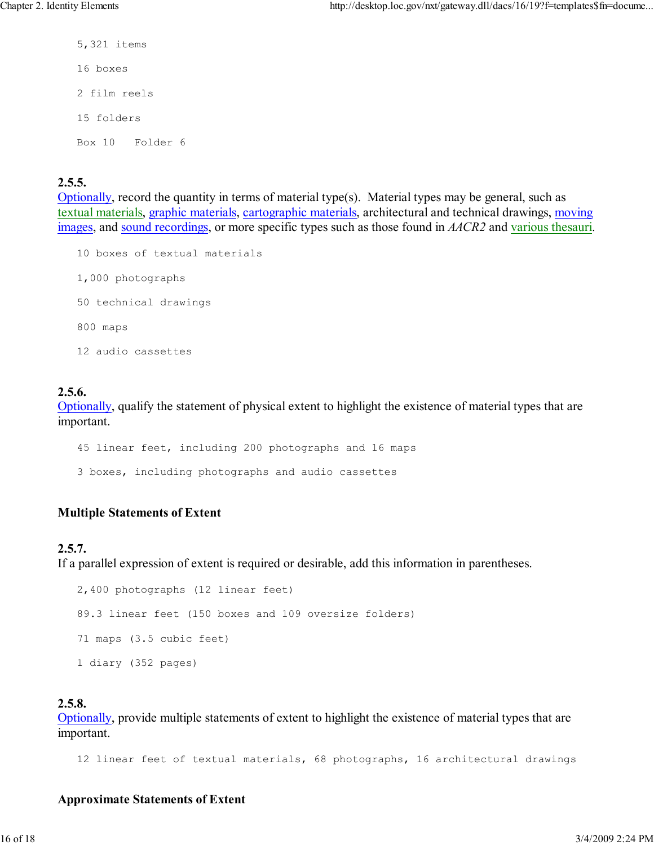5,321 items 16 boxes 2 film reels 15 folders Box 10 Folder 6

# **2.5.5.**

Optionally, record the quantity in terms of material type(s). Material types may be general, such as textual materials, graphic materials, cartographic materials, architectural and technical drawings, moving images, and sound recordings, or more specific types such as those found in *AACR2* and various thesauri.

```
10 boxes of textual materials
1,000 photographs
50 technical drawings
800 maps
12 audio cassettes
```
# **2.5.6.**

Optionally, qualify the statement of physical extent to highlight the existence of material types that are important.

45 linear feet, including 200 photographs and 16 maps

3 boxes, including photographs and audio cassettes

# **Multiple Statements of Extent**

#### **2.5.7.**

If a parallel expression of extent is required or desirable, add this information in parentheses.

```
2,400 photographs (12 linear feet)
89.3 linear feet (150 boxes and 109 oversize folders)
71 maps (3.5 cubic feet)
1 diary (352 pages)
```
### **2.5.8.**

Optionally, provide multiple statements of extent to highlight the existence of material types that are important.

12 linear feet of textual materials, 68 photographs, 16 architectural drawings

#### **Approximate Statements of Extent**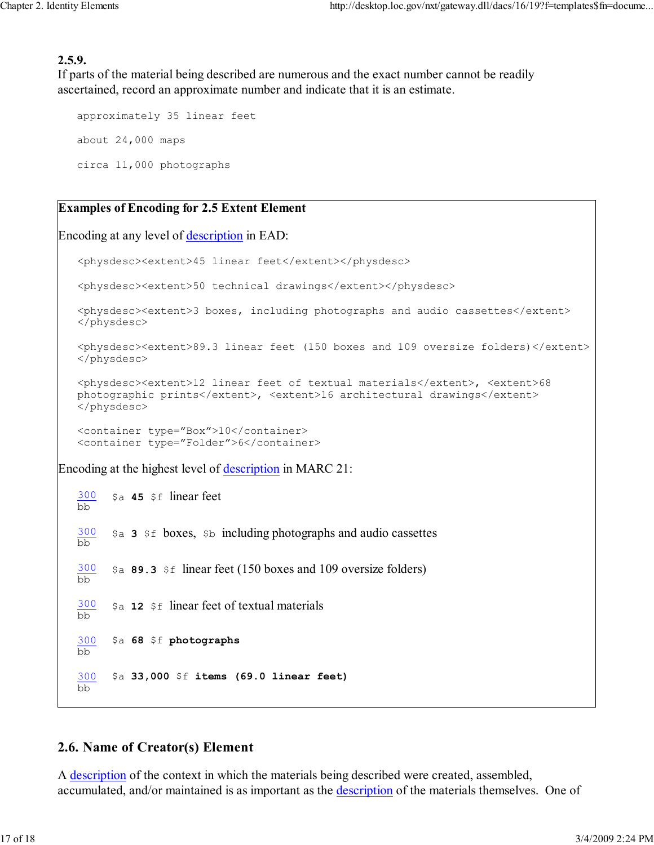### **2.5.9.**

If parts of the material being described are numerous and the exact number cannot be readily ascertained, record an approximate number and indicate that it is an estimate.

```
approximately 35 linear feet
about 24,000 maps
circa 11,000 photographs
```
# **Examples of Encoding for 2.5 Extent Element**

```
Encoding at any level of description in EAD:
   <physdesc><extent>45 linear feet</extent></physdesc>
   <physdesc><extent>50 technical drawings</extent></physdesc>
   <physdesc><extent>3 boxes, including photographs and audio cassettes</extent>
   </physdesc>
   <physdesc><extent>89.3 linear feet (150 boxes and 109 oversize folders)</extent>
   </physdesc>
   <physdesc><extent>12 linear feet of textual materials</extent>, <extent>68
   photographic prints</extent>, <extent>16 architectural drawings</extent>
   </physdesc>
   <container type="Box">10</container>
   <container type="Folder">6</container>
Encoding at the highest level of description in MARC 21:
   300
   bb
        $a 45 $f linear feet
   300
   bb
         $a 3 $f boxes, $b including photographs and audio cassettes
   300
   bb
         $a 89.3 $f linear feet (150 boxes and 109 oversize folders)
   300
   bb
         $a 12 $f linear feet of textual materials
   300
   bb
         $a 68 $f photographs
   300
   bb
         $a 33,000 $f items (69.0 linear feet)
```
# **2.6. Name of Creator(s) Element**

A description of the context in which the materials being described were created, assembled, accumulated, and/or maintained is as important as the description of the materials themselves. One of